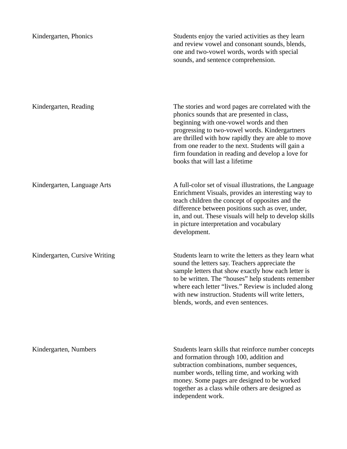| Kindergarten, Phonics         | Students enjoy the varied activities as they learn<br>and review vowel and consonant sounds, blends,<br>one and two-vowel words, words with special<br>sounds, and sentence comprehension.                                                                                                                                                                                                         |
|-------------------------------|----------------------------------------------------------------------------------------------------------------------------------------------------------------------------------------------------------------------------------------------------------------------------------------------------------------------------------------------------------------------------------------------------|
| Kindergarten, Reading         | The stories and word pages are correlated with the<br>phonics sounds that are presented in class,<br>beginning with one-vowel words and then<br>progressing to two-vowel words. Kindergartners<br>are thrilled with how rapidly they are able to move<br>from one reader to the next. Students will gain a<br>firm foundation in reading and develop a love for<br>books that will last a lifetime |
| Kindergarten, Language Arts   | A full-color set of visual illustrations, the Language<br>Enrichment Visuals, provides an interesting way to<br>teach children the concept of opposites and the<br>difference between positions such as over, under,<br>in, and out. These visuals will help to develop skills<br>in picture interpretation and vocabulary<br>development.                                                         |
| Kindergarten, Cursive Writing | Students learn to write the letters as they learn what<br>sound the letters say. Teachers appreciate the<br>sample letters that show exactly how each letter is<br>to be written. The "houses" help students remember<br>where each letter "lives." Review is included along<br>with new instruction. Students will write letters,<br>blends, words, and even sentences.                           |
| Kindergarten, Numbers         | Students learn skills that reinforce number concepts<br>and formation through 100, addition and<br>subtraction combinations, number sequences,<br>number words, telling time, and working with<br>money. Some pages are designed to be worked<br>together as a class while others are designed as<br>independent work.                                                                             |